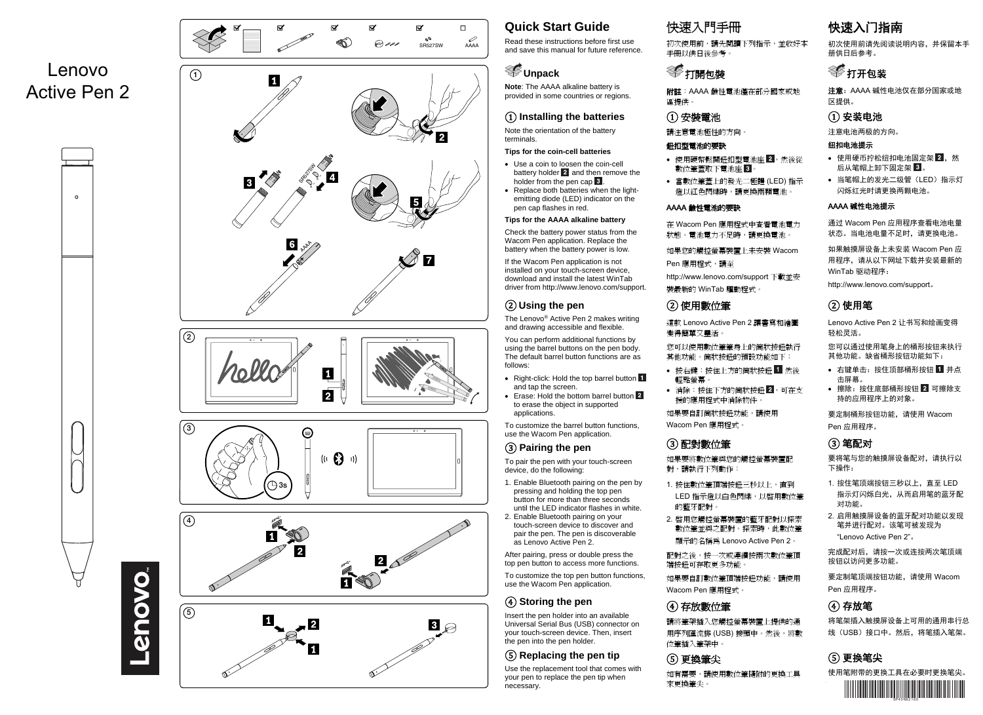

Lenovo

 $\circ$ 

enovo









# **Quick Start Guide**

Read these instructions before first use and save this manual for future reference.

# **Unpack**

**Note**: The AAAA alkaline battery is provided in some countries or regions.

### ① **Installing the batteries**

Note the orientation of the battery terminals.

#### **Tips for the coin-cell batteries**

- Use a coin to loosen the coin-cell battery holder  $2$  and then remove the holder from the pen cap  $3$
- Replace both batteries when the lightemitting diode (LED) indicator on the pen cap flashes in red.

#### **Tips for the AAAA alkaline battery**

Check the battery power status from the Wacom Pen application. Replace the battery when the battery power is low.

If the Wacom Pen application is not installed on your touch-screen device, download and install the latest WinTab driver from http://www.lenovo.com/support.

# ② **Using the pen**

The Lenovo® Active Pen 2 makes writing and drawing accessible and flexible. You can perform additional functions by

using the barrel buttons on the pen body. The default barrel button functions are as follows:

- Right-click: Hold the top barrel button and tap the screen.
- Erase: Hold the bottom barrel button 2 to erase the object in supported applications.

To customize the barrel button functions, use the Wacom Pen application.

## ③ **Pairing the pen**

To pair the pen with your touch-screen device, do the following:

- 1. Enable Bluetooth pairing on the pen by pressing and holding the top pen button for more than three seconds
- until the LED indicator flashes in white. 2. Enable Bluetooth pairing on your touch-screen device to discover and pair the pen. The pen is discoverable as Lenovo Active Pen 2.

After pairing, press or double press the top pen button to access more functions.

To customize the top pen button functions, use the Wacom Pen application.

# ④ **Storing the pen**

Insert the pen holder into an available Universal Serial Bus (USB) connector on your touch-screen device. Then, insert the pen into the pen holder.

## ⑤ **Replacing the pen tip**

Use the replacement tool that comes with your pen to replace the pen tip when necessary.

# 快速入門手冊

初次使用前,請先閱讀下列指示,並收好本 手冊以供日後參考。

# 打開包裝

附註:AAAA 鹼性電池僅在部分國家或地 區提供。

### ① 安裝電池

請注意電池極性的方向。

#### 鈕扣型電池的要訣

- 使用硬幣鬆開鈕扣型電池座 2,然後從 數位筆著取下電池座 3
- 當數位筆蓋上的發光二極體 (LED) 指示 燈以紅色閃爍時,請更換兩顆電池。

#### AAAA 鹼性電池的要訣

在 Wacom Pen 應用程式中查看電池電力 狀態。電池電力不足時,請更換電池。

如果您的觸控螢幕裝置上未安裝 Wacom

Pen 應用程式,請至

http://www.lenovo.com/support 下載並安 裝最新的 WinTab 驅動程式。

# ② 使用數位筆

這款 Lenovo Active Pen 2 讓書寫和繪圖 變得簡單又靈活。

您可以使用數位筆筆身上的筒狀按鈕執行 其他功能。筒狀按鈕的預設功能如下:

- 按右鍵:按住上方的筒狀按鈕 然後 輕點螢幕。
- 消除:按住下方的筒狀按鈕 2,可在支 援的應用程式中消除物件。

如果要自訂筒狀按鈕功能,請使用 Wacom Pen 應用程式。

## ③ 配對數位筆

如果要將數位筆與您的觸控螢幕裝置配 對,請執行下列動作:

- 1. 按住數位筆頂端按鈕三秒以上,直到 LED 指示燈以白色閃爍,以啟用數位筆 的藍牙配對。
- 2. 啟用您觸控螢幕裝置的藍牙配對以探索 數位筆並與之配對。探索時,此數位筆 顯示的名稱為 Lenovo Active Pen 2。

配對之後,按一次或連續按兩次數位筆頂 端按鈕可存取更多功能。 如果要自訂數位筆頂端按鈕功能,請使用

Wacom Pen 應用程式。

# ④ 存放數位筆

請將筆架插入您觸控螢幕裝置上提供的通 用序列匯流排 (USB) 接頭中。然後,將數 位筆插入筆架中。

# ⑤ 更換筆尖

如有需要,請使用數位筆隨附的更換工具 來更換筆尖。

# 快速入门指南

初次使用前请先阅读说明内容,并保留本手册供日后参考。

# 打开包装

注意:AAAA 碱性电池仅在部分国家或地区提供。

# ① 安装电池

注意电池两极的方向。

#### 纽扣电池提示

- 使用硬币拧松纽扣电池固定架 2 ,然 后从笔帽上卸下固定架 3.
- 当笔帽上的发光二级管(LED)指示灯闪烁红光时请更换两颗电池。

#### AAAA 碱性电池提示

通过 Wacom Pen 应用程序查看电池电量状态。当电池电量不足时,请更换电池。

如果触摸屏设备上未安装 Wacom Pen 应用程序,请从以下网址下载并安装最新的WinTab 驱动程序:

http://www.lenovo.com/support。

# ② 使用笔

Lenovo Active Pen 2 让书写和绘画变得轻松灵活。

您可以通过使用笔身上的桶形按钮来执行其他功能。缺省桶形按钮功能如下:

- 右键单击: 按住顶部桶形按钮 1 并点 击屏幕。
- 擦除:按住底部桶形按钮 2 可擦除支 持的应用程序上的对象。

要定制桶形按钮功能,请使用 Wacom Pen 应用程序。

# ③ 笔配对

要将笔与您的触摸屏设备配对,请执行以下操作:

- 1. 按住笔顶端按钮三秒以上,直至 LED 指示灯闪烁白光,从而启用笔的蓝牙配对功能。
- 2. 启用触摸屏设备的蓝牙配对功能以发现笔并进行配对。该笔可被发现为"Lenovo Active Pen 2"。

完成配对后,请按一次或连按两次笔顶端按钮以访问更多功能。

要定制笔顶端按钮功能,请使用 Wacom Pen 应用程序。

# ④ 存放笔

将笔架插入触摸屏设备上可用的通用串行总线(USB)接口中。然后,将笔插入笔架。

## ⑤ 更换笔尖

使用笔附带的更换工具在必要时更换笔尖。